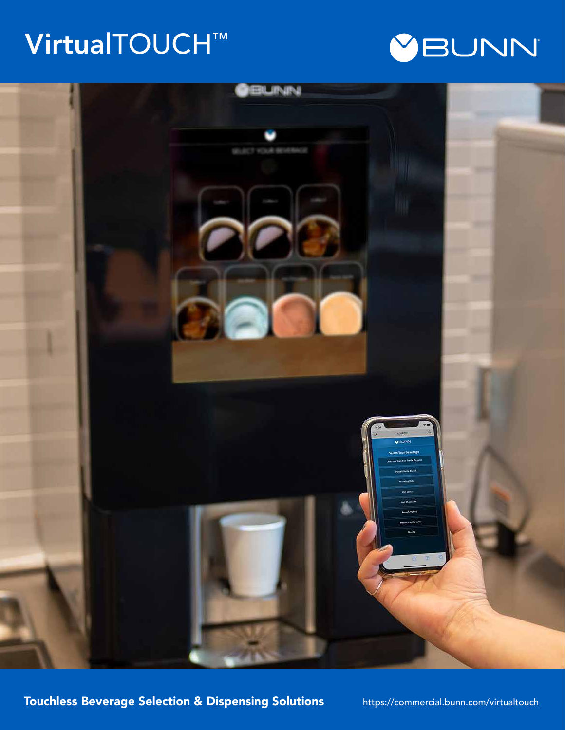# VirtualTOUCH™





Touchless Beverage Selection & Dispensing Solutions https://commercial.bunn.com/virtualtouch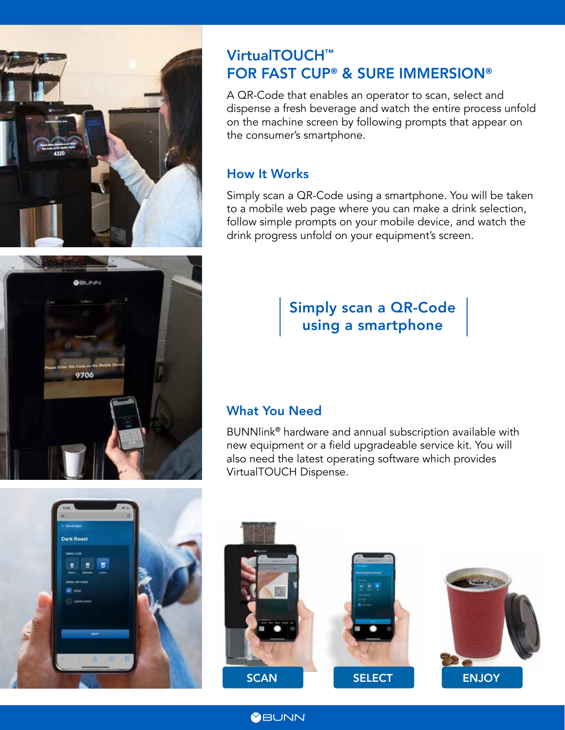

**O**BUNN

9706

# VirtualTOUCH™ FOR FAST CUP**®** & SURE IMMERSION**®**

A QR-Code that enables an operator to scan, select and dispense a fresh beverage and watch the entire process unfold on the machine screen by following prompts that appear on the consumer's smartphone.

#### How It Works

Simply scan a QR-Code using a smartphone. You will be taken to a mobile web page where you can make a drink selection, follow simple prompts on your mobile device, and watch the drink progress unfold on your equipment's screen.

# Simply scan a QR-Code using a smartphone

### What You Need

BUNNlink® hardware and annual subscription available with new equipment or a field upgradeable service kit. You will also need the latest operating software which provides VirtualTOUCH Dispense.





**YBUNN**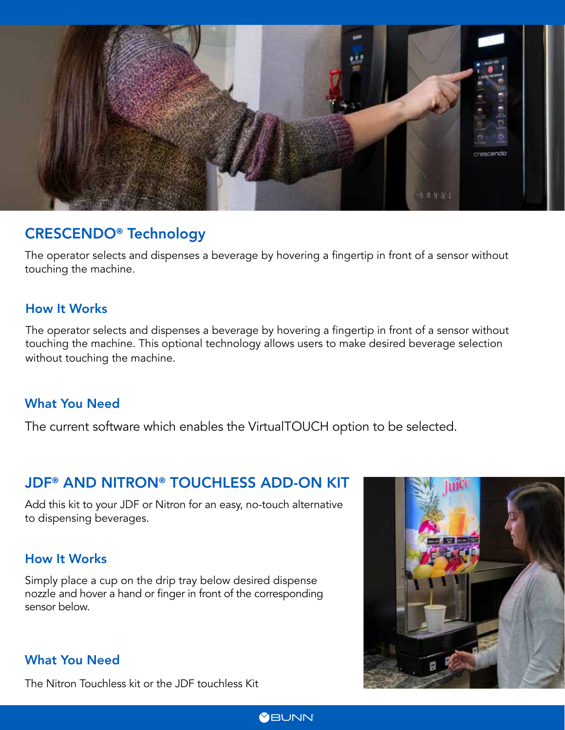

## CRESCENDO**®** Technology

The operator selects and dispenses a beverage by hovering a fingertip in front of a sensor without touching the machine.

#### How It Works

The operator selects and dispenses a beverage by hovering a fingertip in front of a sensor without touching the machine. This optional technology allows users to make desired beverage selection without touching the machine.

#### What You Need

The current software which enables the VirtualTOUCH option to be selected.

## JDF**®** AND NITRON**®** TOUCHLESS ADD-ON KIT

Add this kit to your JDF or Nitron for an easy, no-touch alternative to dispensing beverages.

#### How It Works

Simply place a cup on the drip tray below desired dispense nozzle and hover a hand or finger in front of the corresponding sensor below.

#### What You Need

The Nitron Touchless kit or the JDF touchless Kit